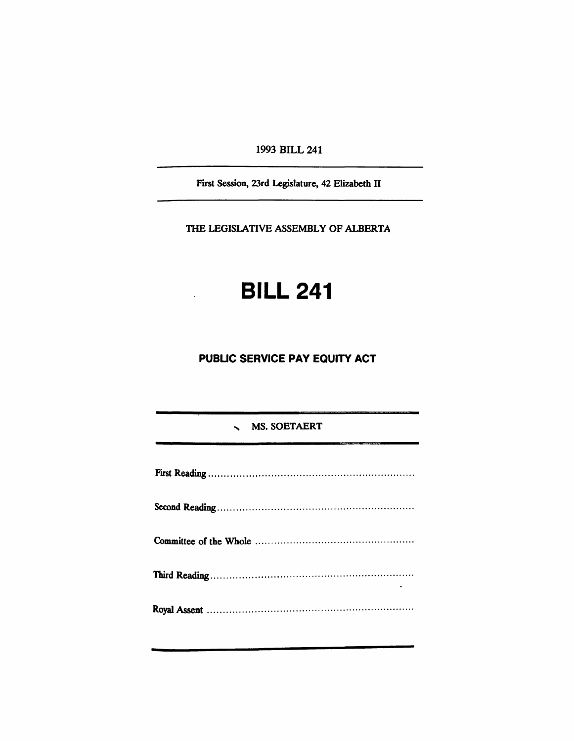1993 BILL 241

First Session, 23rd Legislature, 42 Elizabeth IT

THE LEGISLATIVE ASSEMBLY OF ALBERTA

# **BILL 241**

# **PUBUC SERVICE PAY EQUITY ACT**

# \ MS. SOETAERT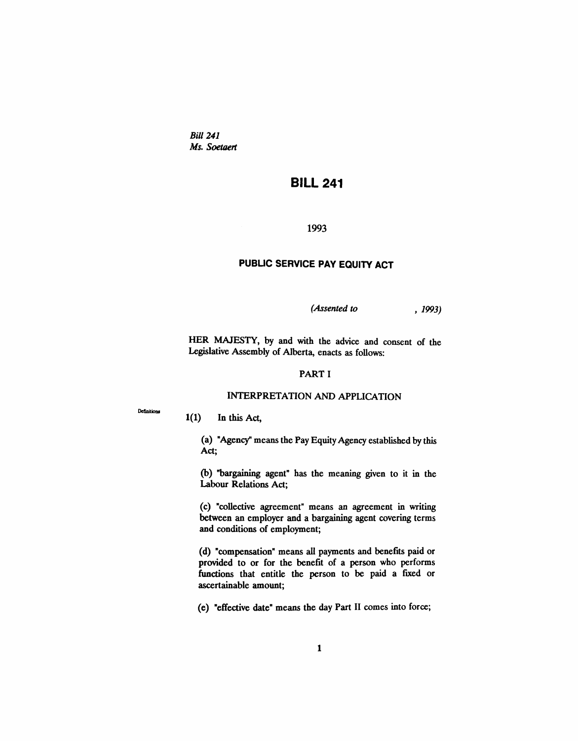Bill 241 *Ms. Soetoert*

# **BILL 241**

1993

# **PUBUC SERVICE PAY EQUITY ACT**

*(Assented to* , 1993)

HER MAJESTY, by and with the advice and consent of the Legislative Assembly of Alberta, enacts as follows:

# PART I

# INTERPRETATION AND APPLICATION

Definitions

1(1) In this Act,

(a) "Agency" means the Pay Equity Agency established by this Act;

(b) "bargaining agent" has the meaning given to it in the Labour Relations Act;

(c) "collective agreement" means an agreement in writing between an employer and a bargaining agent covering terms and conditions of employment;

(d) "compensation" means all payments and benefits paid or provided to or for the benefit of a person who performs functions that entitle the person to be paid a fixed or ascertainable amount;

(e) "effective date" means the day Part II comes into force;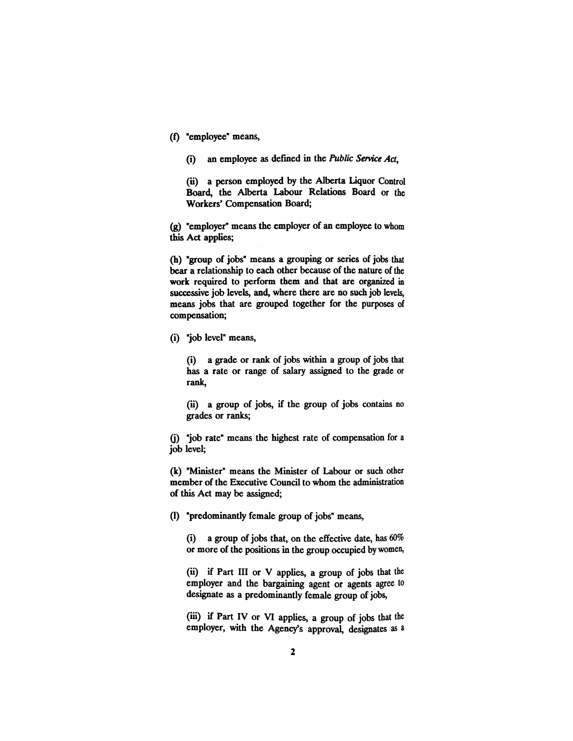- (f) "employee" means,
	- (i) an employee as defined in the *Public Service Act*,

(ii) a person employed by the Alberta Liquor Control Board, the Alberta Labour Relations Board or the Workers' Compensation Board;

(g) "employer" means the employer of an employee to whom this Act applies;

(h) "group of jobs" means a grouping or series of jobs that bear a relationship to each other because of the nature of the work required to perform them and that are organized in successive job levels, and, where there are no such job levels, means jobs that are grouped together for the purposes of compensation;

(i) "job level" means,

(i) a grade or rank of jobs within a group of jobs that has a rate or range of salary assigned to the grade or rank,

(ii) a group of jobs, if the group of jobs contains no grades or ranks;

G) "job rate" means the highest rate of compensation for a job level;

(k) "Minister" means the Minister of Labour or such other member of the Executive Council to whom the administration of this Act may be assigned;

(I) "predominantly female group of jobs" means,

(i) a group of jobs that, on the effective date, has  $60\%$ or more of the positions in the group occupied by women,

(ii) if Part III or V applies, a group of jobs that the employer and the bargaining agent or agents agree to designate as a predominantly female group of jobs,

(iii) if Part IV or VI applies, a group of jobs that the employer, with the Agency's approval, designates as a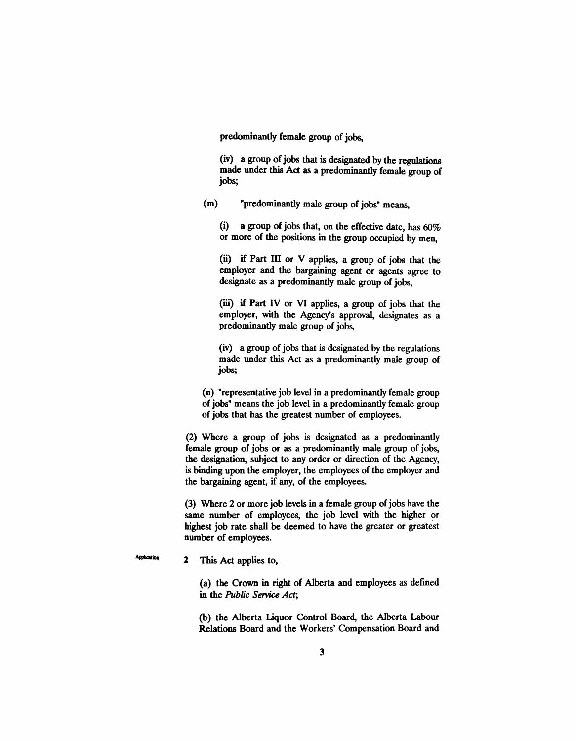predominantly female group of jobs,

(iv) a group of jobs that is designated by the regulations made under this Act as a predominantly female group of jobs;

(m) "predominantly male group of jobs" means,

(i) a group of jobs that, on the effective date, has 60% or more of the positions in the group occupied by men,

(ii) if Part III or V applies, a group of jobs that the employer and the bargaining agent or agents agree to designate as a predominantly male group of jobs,

(iii) if Part IV or VI applies, a group of jobs that the employer, with the Agency's approval, designates as a predominantly male group of jobs,

(iv) a group of jobs that is designated by the regulations made under this Act as a predominantly male group of jobs;

(n) "representative job level in a predominantly female group of jobs" means the job level in a predominantly female group of jobs that has the greatest number of employees.

(2) Where a group of jobs is designated as a predominantly female group of jobs or as a predominantly male group of jobs, the designation, subject to any order or direction of the Agency, is binding upon the employer, the employees of the employer and the bargaining agent, if any, of the employees.

(3) Where 2 or more job levels in a female group of jobs have the same number of employees, the job level with the higher or highest job rate shall be deemed to have the greater or greatest number of employees.

2 This Act applies to,

**Application** 

(a) the Crown in right of Alberta and employees as defined in the *Public Service Act;*

(b) the Alberta Liquor Control Board, the Alberta Labour Relations Board and the Workers' Compensation Board and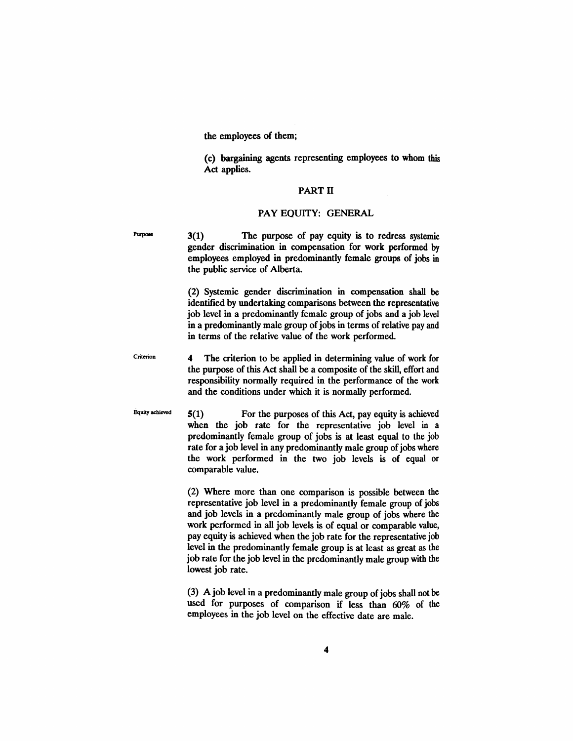the employees of them;

(c) bargaining agents representing employees to whom this Act applies.

## PART II

## PAY EQUITY: GENERAL

Purpose

3(1) The purpose of pay equity is to redress systemic gender discrimination in compensation for work performed by employees employed in predominantly female groups of jobs in the public service of Alberta.

(2) Systemic gender discrimination in compensation shall be identified by undertaking comparisons between the representative job level in a predominantly female group of jobs and a job level in a predominantly male group of jobs in terms of relative pay and in terms of the relative value of the work performed.

Criterion 4 The criterion to be applied in determining value of work for the purpose of this Act shall be a composite of the skill, effort and responsibility normally required in the performance of the work and the conditions under which it is normally performed.

Equity achieved  $5(1)$  For the purposes of this Act, pay equity is achieved when the job rate for the representative job level in a predominantly female group of jobs is at least equal to the job rate for a job level in any predominantly male group of jobs where the work performed in the two job levels is of equal or comparable value.

> (2) Where more than one comparison is possible between the representative job level in a predominantly female group of jobs and job levels in a predominantly male group of jobs where the work performed in all job levels is of equal or comparable value, pay equity is achieved when the job rate for the representative job level in the predominantly female group is at least as great as the job rate for the job level in the predominantly male group with the lowest job rate.

> (3) A job level in a predominantly male group of jobs shall not be used for purposes of comparison if less than 60% of the employees in the job level on the effective date are male.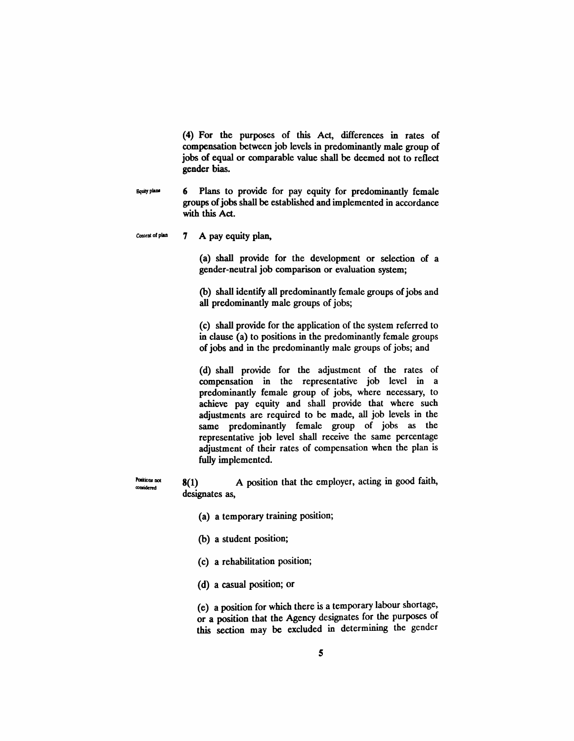(4) For the purposes of this Act, differences in rates of compensation between job levels in predominantly male group of jobs of equal or comparable value shall be deemed not to reflect gender bias.

- 6 Plans to provide for pay equity for predominantly female **Equity** plane groups of jobs shall be established and implemented in accordance with this Act.
- $Concent of plane$   $7$  A pay equity plan,

Positions not considered

(a) shall provide for the development or selection of a gender-neutral job comparison or evaluation system;

(b) shall identify all predominantly female groups of jobs and all predominantly male groups of jobs;

(C) shall provide for the application of the system referred to in clause (a) to positions in the predominantly female groups of jobs and in the predominantly male groups of jobs; and

(d) shall provide for the adjustment of the rates of compensation in the representative job level in a predominantly female group of jobs, where necessary, to achieve pay equity and shall provide that where such adjustments are required to be made, all job levels in the same predominantly female group of jobs as the representative job level shall receive the same percentage adjustment of their rates of compensation when the plan is fully implemented.

8(1) A position that the employer, acting in good faith, designates as,

- (a) a temporary training position;
- (b) a student position;
- (c) a rehabilitation position;
- (d) a casual position; or

(e) a position for which there is a temporary labour shortage, or a position that the Agency designates for the purposes of this section may be excluded in determining the gender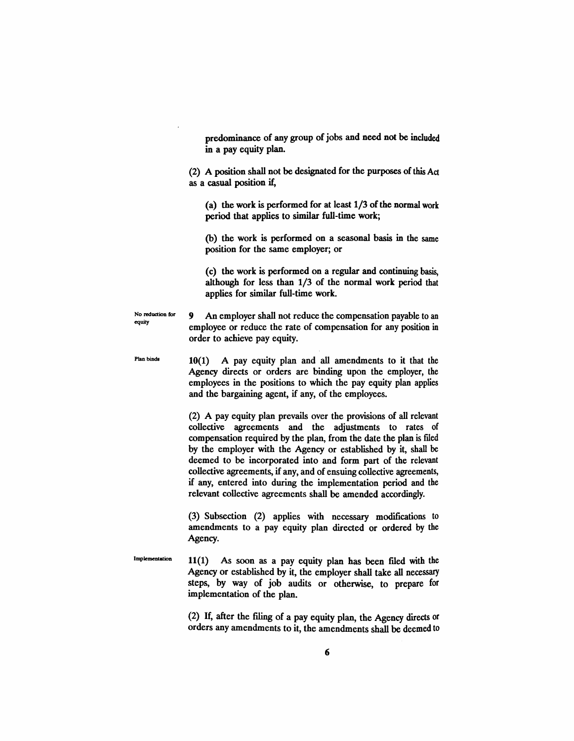predominance of any group of jobs and need not be included in a pay equity plan.

(2) A position shall not be designated for the purposes ofthis Act as a casual position if,

(a) the work is performed for at least  $1/3$  of the normal work period that applies to similar full-time work;

(b) the work is performed on a seasonal basis in the same position for the same employer; or

(c) the work is performed on a regular and continuing basis, although for less than 1/3 of the normal work period that applies for similar full-time work.

No reduction for equity 9 An employer shall not reduce the compensation payable to an employee or reduce the rate of compensation for any position in order to achieve pay equity.

Plan binds 10(1) A pay equity plan and all amendments to it that the Agency directs or orders are binding upon the employer, the employees in the positions to which the pay equity plan applies and the bargaining agent, if any, of the employees.

> (2) A pay equity plan prevails over the provisions of all relevant collective agreements and the adjustments to rates of compensation required by the plan, from the date the plan is filed by the employer with the Agency or established by it, shall be deemed to be incorporated into and form part of the relevant collective agreements, if any, and of ensuing collective agreements, if any, entered into during the implementation period and the relevant collective agreements shall be amended accordingly.

> (3) Subsection (2) applies with necessary modifications to amendments to a pay equity plan directed or ordered by the Agency.

Implementation  $11(1)$  As soon as a pay equity plan has been filed with the Agency or established by it, the employer shall take all necessary steps, by way of job audits or otherwise, to prepare for implementation of the plan.

> (2) H, after the filing of a pay equity plan, the Agency directs or orders any amendments to it, the amendments shall be deemed to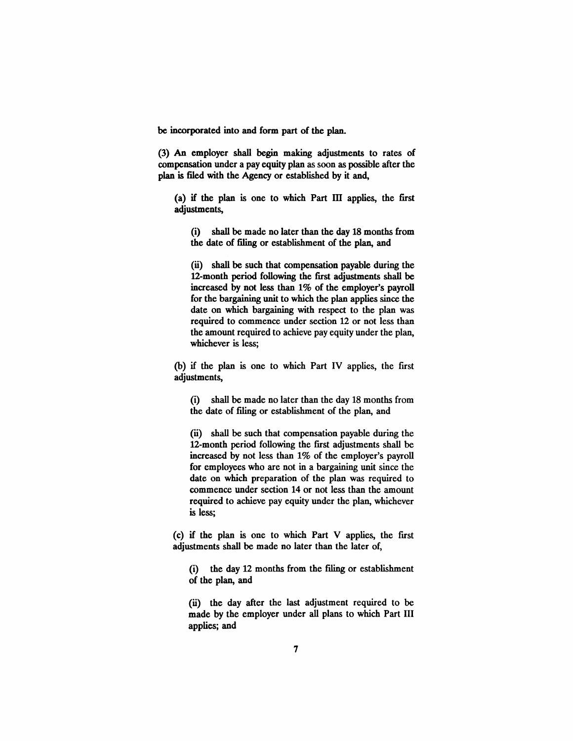be incorporated into and form part of the plan.

(3) An employer shall begin making adjustments to rates of compensation under a pay equity plan as soon as possible after the plan is filed with the Agency or established by it and,

(a) if the plan is one to which Part ill applies, the first adjustments,

(i) shall be made no later than the day 18 months from the date of filing or establishment of the plan, and

(ii) shall be such that compensation payable during the 12-month period following the first adjustments shall be increased by not less than 1% of the employer's payroll for the bargaining unit to which the plan applies since the date on which bargaining with respect to the plan was required to commence under section 12 or not less than the amount required to achieve pay equity under the plan, whichever is less;

(b) if the plan is one to which Part IV applies, the first adjustments,

(i) shall be made no later than the day 18 months from the date of filing or establishment of the plan, and

(ii) shall be such that compensation payable during the 12-month period following the first adjustments shall be increased by not less than 1% of the employer's payroll for employees who are not in a bargaining unit since the date on which preparation of the plan was required to commence under section 14 or not less than the amount required to achieve pay equity under the plan, whichever is less;

(c) if the plan is one to which Part V applies, the fust adjustments shall be made no later than the later of,

(i) the day 12 months from the filing or establishment of the plan, and

(ii) the day after the last adjustment required to be made by the employer under all plans to which Part III applies; and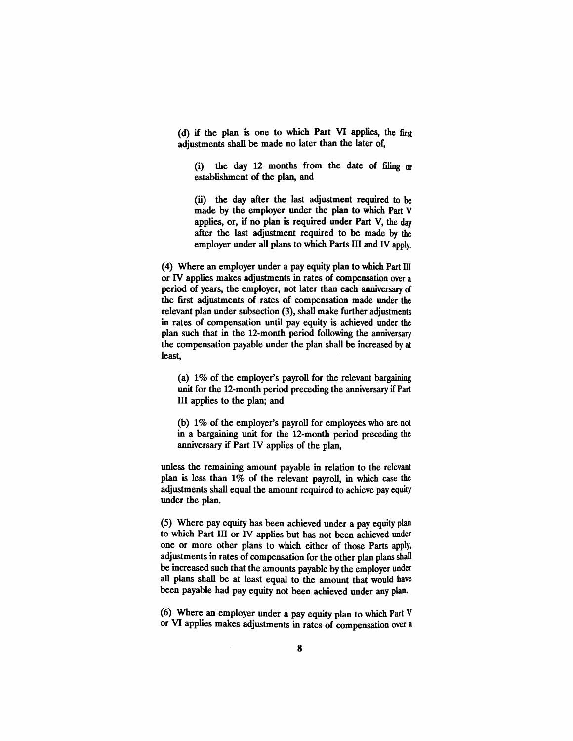(d) if the plan is one to which Part VI applies, the first adjustments shall be made no later than the later of,

(i) the day *U* months from the date of filing or establishment of the plan, and

(ii) the day after the last adjustment required to be made by the employer under the plan to which Part V applies, or, if no plan is required under Part V, the day after the last adjustment required to be made by the employer under all plans to which Parts ill and IV apply.

(4) Where an employer under a pay equity plan to which Part HI or IV applies makes adjustments in rates of compensation over a period of years, the employer, not later than each anniversary of the first adjustments of rates of compensation made under the relevant plan under subsection (3), shall make further adjustments in rates of compensation until pay equity is achieved under the plan such that in the 12-month period following the anniversary the compensation payable under the plan shall be increased by at least,

(a) 1% of the employer's payroll for the relevant bargaining unit for the 12-month period preceding the anniversary if Part III applies to the plan; and

(b) 1% of the employer's payroll for employees who are not in a bargaining unit for the 12-month period preceding the anniversary if Part IV applies of the plan,

unless the remaining amount payable in relation to the relevant plan is less than 1% of the relevant payroll, in which case the adjustments shall equal the amount required to achieve pay equity under the plan.

(5) Where pay equity has been achieved under a pay equity plan to which Part III or IV applies but has not been achieved under one or more other plans to which either of those Parts apply, adjustments in rates of compensation for the other plan plans shall be increased such that the amounts payable by the employer under all plans shall be at least equal to the amount that would have been payable had pay equity not been achieved under any plan.

(6) Where an employer under a pay equity plan to which Part V or VI applies makes adjustments in rates of compensation over a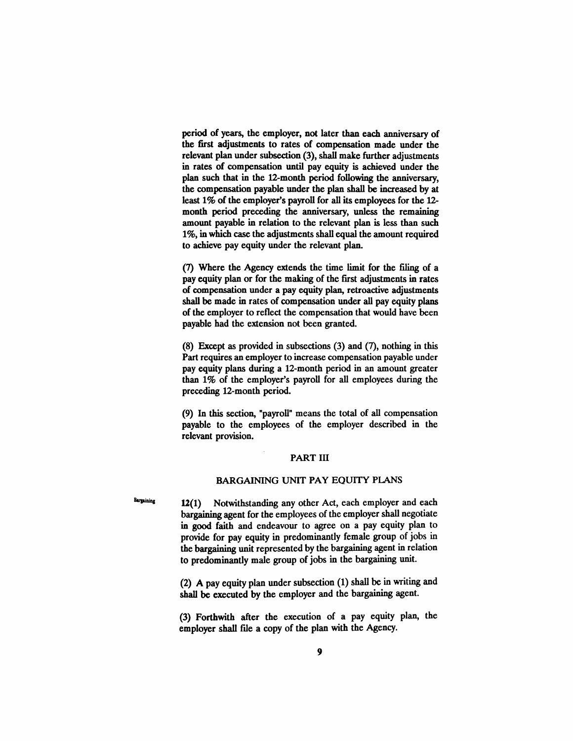period of years, the employer, not later than each anniversary of the first adjustments to rates of compensation made under the relevant plan under subsection (3), shall make further adjustments in rates of compensation until pay equity is achieved under the plan such that in the 12-month period following the anniversary, the compensation payable under the plan shall be increased by at least 1% of the employer's payroll for all its employees for the 12 month period preceding the anniversary, unless the remaining amount payable in relation to the relevant plan is less than such 1%, in which case the adjustments shall equal the amount required to achieve pay equity under the relevant plan.

(7) Where the Agency extends the time limit for the filing of a pay equity plan or for the making of the first adjustments in rates of compensation under a pay equity plan, retroactive adjustments shall be made in rates of compensation under all pay equity plans of the employer to reflect the compensation that would have been payable had the extension not been granted.

(8) Except as provided in subsections (3) and (7), nothing in this Part requires an employer to increase compensation payable under pay equity plans during a 12-month period in an amount greater than 1% of the employer's payroll for all employees during the preceding 12-month period.

(9) In this section, "payroll" means the total of all compensation payable to the employees of the employer described in the relevant provision.

## PART III

## BARGAINING UNIT PAY EQUITY PLANS

 $Baryating$  12(1) Notwithstanding any other Act, each employer and each bargaining agent for the employees of the employer shall negotiate in good faith and endeavour to agree on a pay equity plan to provide for pay equity in predominantly female group of jobs in the bargaining unit represented by the bargaining agent in relation to predominantly male group of jobs in the bargaining unit.

> (2) A pay equity plan under subsection (1) shall be in writing and shall be executed by the employer and the bargaining agent.

> (3) Forthwith after the execution of a pay equity plan, the employer shall file a copy of the plan with the Agency.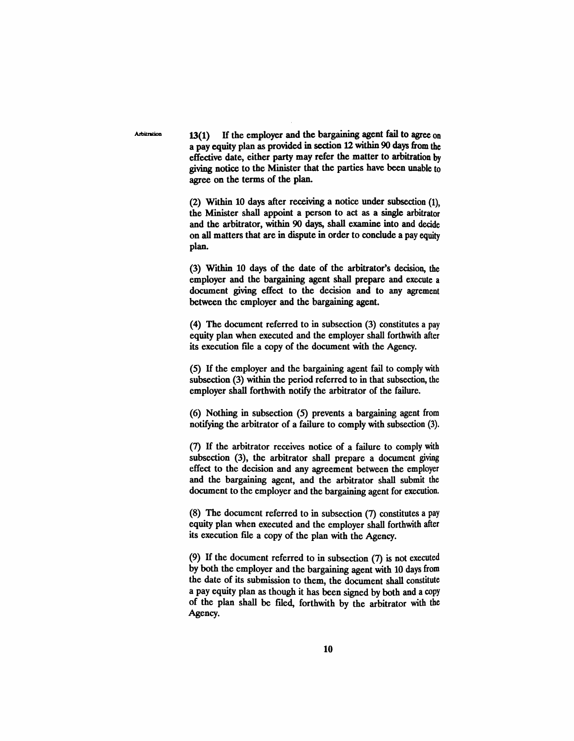**Arbitration** 

13(1) If the employer and the bargaining agent fail to agree on a pay equity plan as provided in section 12 within 90 days from the effective date, either party may refer the matter to arbitration by giving notice to the Minister that the parties have been unable to agree on the terms of the plan.

(2) Within 10 days after receiving a notice under subsection (1), the Minister shall appoint a person to act as a single arbitrator and the arbitrator, within 90 days, shall examine into and decide on all matters that are in dispute in order to conclude a pay equity plan.

(3) Within 10 days of the date of the arbitrator's decision, the employer and the bargaining agent shall prepare and execute a document giving effect to the decision and to any agrement between the employer and the bargaining agent.

(4) The document referred to in subsection (3) constitutes a pay equity plan when executed and the employer shall forthwith after its execution file a copy of the document with the Agency.

(5) H the employer and the bargaining agent fail to comply with subsection (3) within the period referred to in that subsection, the employer shall forthwith notify the arbitrator of the failure.

(6) Nothing in subsection (5) prevents a bargaining agent from notifying the arbitrator of a failure to comply with subsection (3).

(7) If the arbitrator receives notice of a failure to comply with subsection (3), the arbitrator shall prepare a document giving effect to the decision and any agreement between the employer and the bargaining agent, and the arbitrator shall submit the document to the employer and the bargaining agent for execution.

(8) The document referred to in subsection (7) constitutes a pay equity plan when executed and the employer shall forthwith after its execution file a copy of the plan with the Agency.

(9) H the document referred to in subsection (7) is not executed by both the employer and the bargaining agent with 10 days from the date of its submission to them, the document shall constitute a pay equity plan as though it has been signed by both and a copy of the plan shall be ftled, forthwith by the arbitrator with the Agency.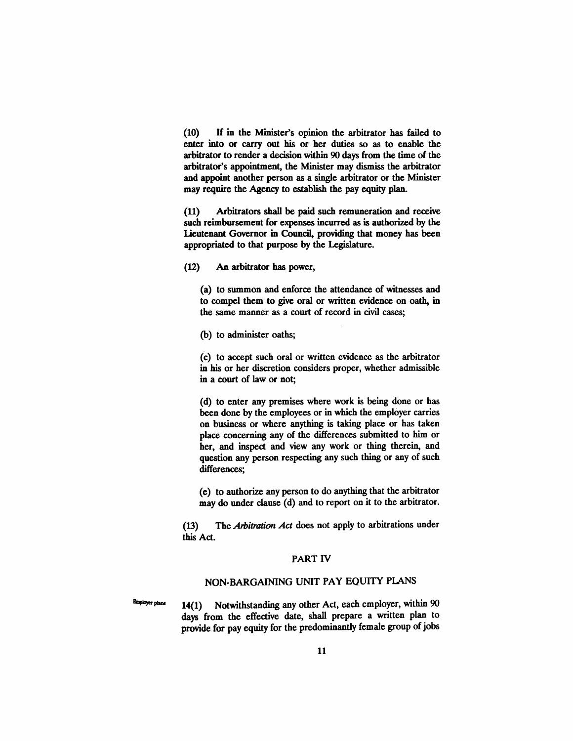(10) H in the Minister's opinion the arbitrator has failed to enter into or carry out his or her duties so as to enable the arbitrator to render a decision within 90 days from the time of the arbitrator's appointment, the Minister may dismiss the arbitrator and appoint another person as a single arbitrator or the Minister may require the Agency to establish the pay equity plan.

(11) Arbitrators shall be paid such remuneration and receive such reimbursement for expenses incurred as is authorized by the Lieutenant Governor in Council, providing that money has been appropriated to that purpose by the Legislature.

(12) An arbitrator has power,

(a) to summon and enforce the attendance of witnesses and to compel them to give oral or written evidence on oath, in the same manner as a court of record in civil cases;

(b) to administer oaths;

(c) to accept such oral or written evidence as the arbitrator in his or her discretion considers proper, whether admissible in a court of law or not;

(d) to enter any premises where work is being done or has been done by the employees or in which the employer carries on business or where anything is taking place or has taken place concerning any of the differences submitted to him or her, and inspect and view any work or thing therein, and question any person respecting any such thing or any of such differences;

(e) to authorize any person to do anything that the arbitrator may do under clause (d) and to report on it to the arbitrator.

(13) The *Arbitration Act* does not apply to arbitrations under this Act.

# PART IV

# NON·BARGAINING UNIT PAY EQUITY PLANS

 $P_{\text{implyer plans}}$  14(1) Notwithstanding any other Act, each employer, within 90 days from the effective date, shall prepare a written plan to provide for pay equity for the predominantly female group of jobs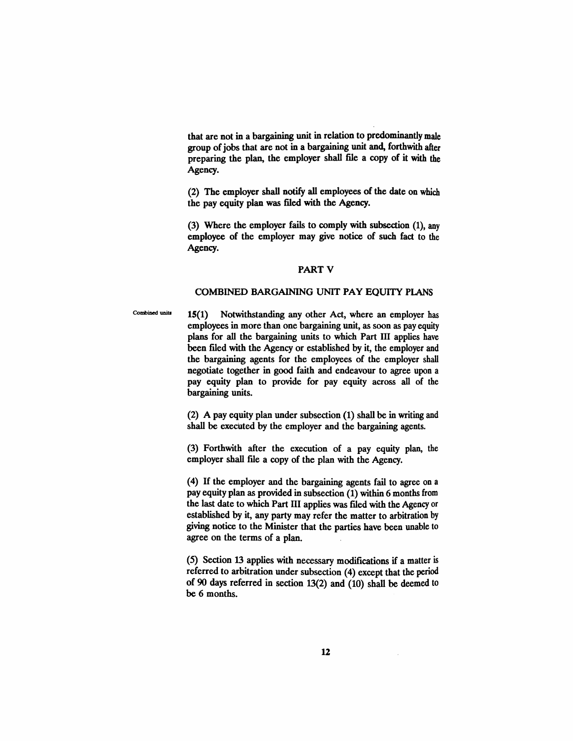that are not in a bargaining unit in relation to predominantly male group of jobs that are not in a bargaining unit and, forthwith after preparing the plan, the employer shall file a copy of it with the Agency.

(2) The employer shall notify all employees of the date on which the pay equity plan was filed with the Agency.

(3) Where the employer fails to comply with subsection (1), any employee of the employer may give notice of such fact to the Agency.

#### PART V

## COMBINED BARGAINING UNIT PAY EQUITY PlANS

Combined units 15(1) Notwithstanding any other Act, where an employer has employees in more than one bargaining unit, as soon as pay equity plans for all the bargaining units to which Part III applies have been filed with the Agency or established by it, the employer and the bargaining agents for the employees of the employer shall negotiate together in good faith and endeavour to agree upon a pay equity plan to provide for pay equity across all of the bargaining units.

> (2) A pay equity plan under subsection (1) shall be in writing and shall be executed by the employer and the bargaining agents.

> (3) Forthwith after the execution of a pay equity plan, the employer shall file a copy of the plan with the Agency.

> (4) H the employer and the bargaining agents fail to agree on a pay equity plan as provided in subsection (1) within 6 months from the last date to which Part III applies was flied with the Agency or established by it, any party may refer the matter to arbitration by giving notice to the Minister that the parties have been unable to agree on the terms of a plan.

> (5) Section 13 applies with necessary modifications if a matter is referred to arbitration under subsection (4) except that the period of 90 days referred in section 13(2) and (10) shall be deemed to be 6 months.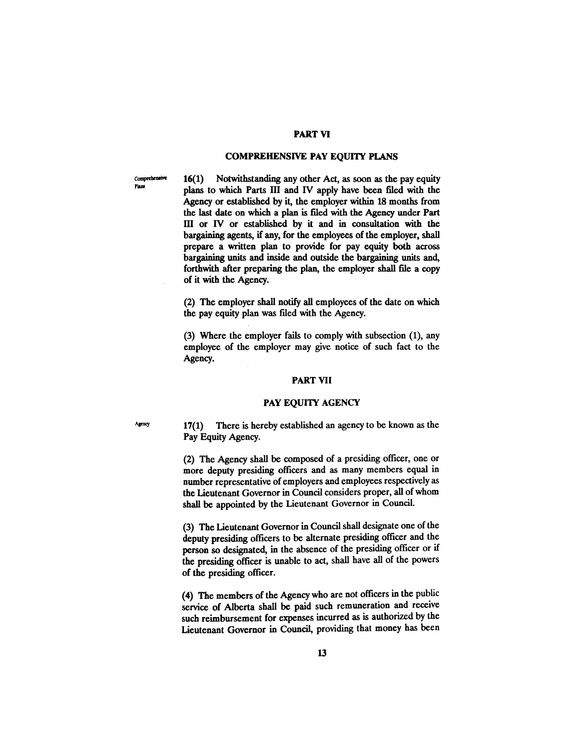# PART VI

## **COMPREHENSIVE PAY EQUITY PLANS**

Comprehensive Plans

16(1) Notwithstanding any other Act, as soon as the pay equity plans to which Parts ill and IV apply have been filed with the Agency or established by it, the employer within 18 months from the last date on which a plan is filed with the Agency under Part III or IV or established by it and in consultation with the bargaining agents, if any, for the employees of the employer, shall prepare a written plan to provide for pay equity both across bargaining units and inside and outside the bargaining units and, forthwith after preparing the plan, the employer shall file a copy of it with the Agency.

(2) The employer shall notify all employees of the date on which the pay equity plan was filed with the Agency.

(3) Where the employer fails to comply with subsection (1), any employee of the employer may give notice of such fact to the Agency.

#### PART VII

#### PAY EQUITY AGENCY

 $A<sub>gency</sub>$  17(1) There is hereby established an agency to be known as the Pay Equity Agency.

> (2) The Agency shall be composed of a presiding officer, one or more deputy presiding officers and as many members equal in number representative of employers and employees respectively as the Lieutenant Governor in Council considers proper, all of whom shall be appointed by the Lieutenant Governor in Council.

> (3) The Lieutenant Governor in Council shall designate one of the deputy presiding officers to be alternate presiding officer and the person so designated, in the absence of the presiding officer or if the presiding officer is unable to act, shall have all of the powers of the presiding officer.

> (4) The members of the Agency who are not officers in the public service of Alberta shall be paid such remuneration and receive such reimbursement for expenses incurred as is authorized by the Lieutenant Governor in Council, providing that money has been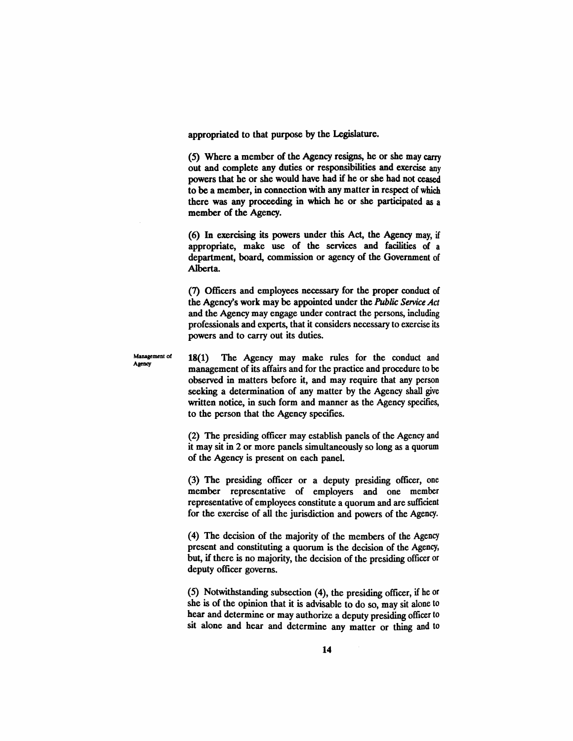appropriated to that purpose by the Legislature.

(5) Where a member of the Agency resigns, he or she may carry out and complete any duties or responsibilities and exercise any powers that he or she would have had if he or she had not ceased to be a member, in connection with any matter in respect of which there was any proceeding in which he or she participated as a member of the Agency.

(6) In exercising its powers under this Act, the Agency may, if appropriate, make use of the services and facilities of a department, board, commission or agency of the Government of Alberta.

(7) Officers and employees necessary for the proper conduct of the Agency's work may be appointed under the *Public Service Act* and the Agency may engage under contract the persons, including professionals and experts, that it considers necessary to exercise its powers and to carry out its duties.

Management of Agency

18(1) The Agency may make rules for the conduct and management of its affairs and for the practice and procedure to be observed in matters before it, and may require that any person seeking a determination of any matter by the Agency shall give written notice, in such form and manner as the Agency specifies, to the person that the Agency specifies.

(2) The presiding officer may establish panels of the Agency and it may sit in 2 or more panels simultaneously so long as a quorum of the Agency is present on each panel.

(3) The presiding officer or a deputy presiding officer, one member representative of employers and one member representative of employees constitute a quorum and are sufficient for the exercise of all the jurisdiction and powers of the Agency.

(4) The decision of the majority of the members of the Agency present and constituting a quorum is the decision of the Agency, but, if there is no majority, the decision of the presiding officer or deputy officer governs.

(5) Notwithstanding subsection (4), the presiding officer, if he or she is of the opinion that it is advisable to do so, may sit alone to hear and determine or may authorize a deputy presiding officer to sit alone and hear and determine any matter or thing and to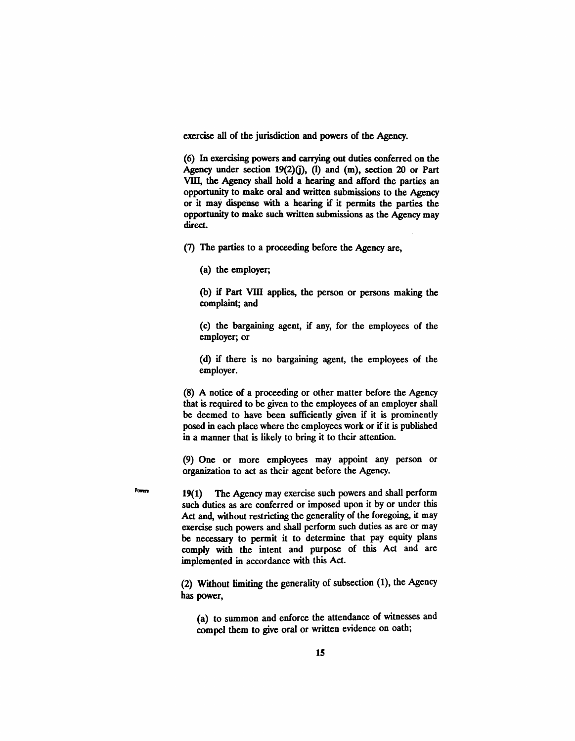exercise all of the jurisdiction and powers of the Agency.

(6) In exercising powers and carrying out duties conferred on the Agency under section 19(2)(j), (I) and (m), section 20 or Part VIII, the Agency shall hold a hearing and afford the parties an opportunity to make oral and written submissions to the Agency or it may dispense with a hearing if it permits the parties the opportunity to make such written submissions as the Agency may direct.

(7) The parties to a proceeding before the Agency are,

(a) the employer;

Powers

(b) if Part VIII applies, the person or persons making the complaint; and

(c) the bargaining agent, if any, for the employees of the employer; or

(d) if there is no bargaining agent, the employees of the employer.

(8) A notice of a proceeding or other matter before the Agency that is required to be given to the employees of an employer shall be deemed to have been sufficiently given if it is prominently posed in each place where the employees work or if it is published in a manner that is likely to bring it to their attention.

(9) One or more employees may appoint any person or organization to act as their agent before the Agency.

19(1) The Agency may exercise such powers and shall perform such duties as are conferred or imposed upon it by or under this Act and, without restricting the generality of the foregoing, it may exercise such powers and shall perform such duties as are or may be necessary to permit it to determine that pay equity plans comply with the intent and purpose of this Act and are implemented in accordance with this Act.

(2) Without limiting the generality of subsection (1), the Agency has power,

(a) to summon and enforce the attendance of witnesses and compel them to give oral or written evidence on oath;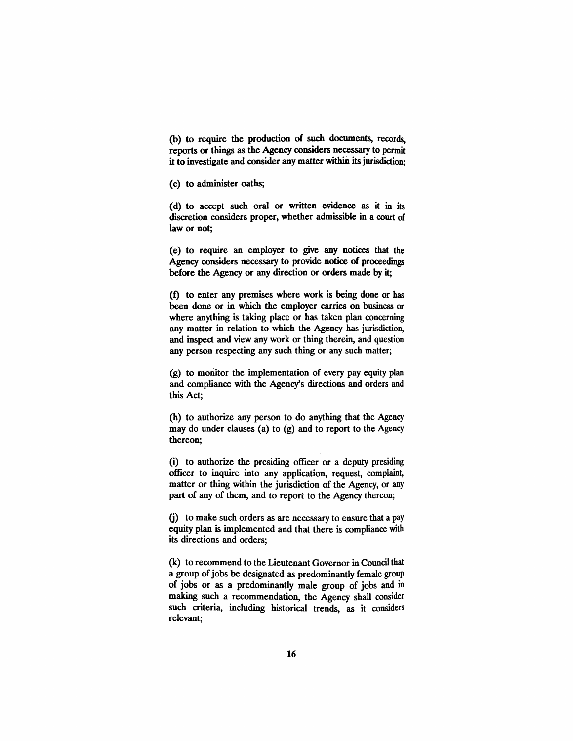(b) to require the production of such documents, records, reports or things as the Agency considers necessary to permit it to investigate and consider any matter within its jurisdiction;

(c) to administer oaths;

(d) to accept such oral or written evidence as it in its discretion considers proper, whether admissible in a court of law or not;

(e) to require an employer to give any notices that the Agency considers necessary to provide notice of proceedings before the Agency or any direction or orders made by it;

(f) to enter any premises where work is being done or has been done or in which the employer carries on business or where anything is taking place or has taken plan concerning any matter in relation to which the Agency has jurisdiction, and inspect and view any work or thing therein, and question any person respecting any such thing or any such matter;

(g) to momtor the implementation of every pay equity plan and compliance with the Agency's directions and orders and this Act;

(h) to authorize any person to do anything that the Agency may do under clauses (a) to (g) and to report to the Agency thereon;

(i) to authorize the presiding officer or a deputy presiding officer to inquire into any application, request, complaint, matter or thing within the jurisdiction of the Agency, or any part of any of them, and to report to the Agency thereon;

G) to make such orders as are necessary to ensure that a pay equity plan is implemented and that there is compliance with its directions and orders;

(k) to recommend to the Lieutenant Governor in Council that a group of jobs be designated as predominantly female group of jobs or as a predominantly male group of jobs and in making such a recommendation, the Agency shall consider such criteria, including historical trends, as it considers relevant;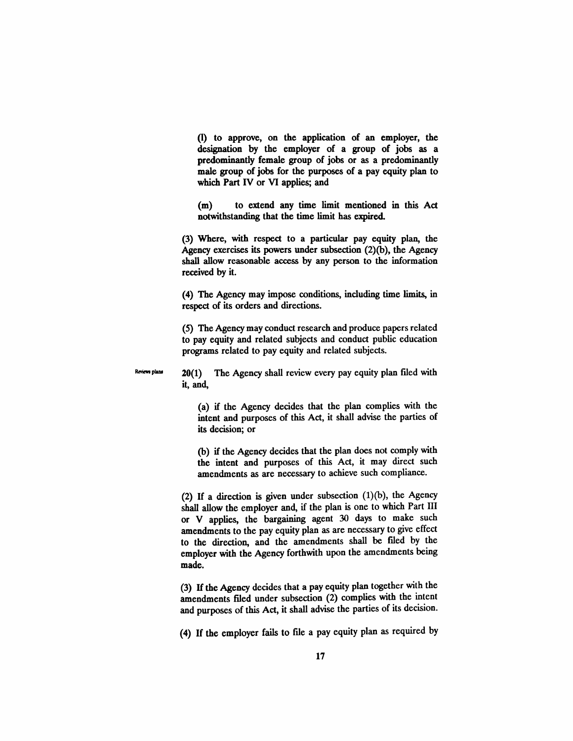(I) to approve, on the application of an employer, the designation by the employer of a group of jobs as a predominantly female group of jobs or as a predominantly male group of jobs for the purposes of a pay equity plan to which Part IV or VI applies; and

(m) to extend any time limit mentioned in this Act notwithstanding that the time limit has expired.

(3) Where, with respect to a particular pay equity plan, the Agency exercises its powers under subsection (2)(b), the Agency shall allow reasonable access by any person to the information received by it.

(4) The Agency may impose conditions, including time limits, in respect of its orders and directions.

(5) The Agency may conduct research and produce papers related to pay equity and related subjects and conduct public education programs related to pay equity and related subjects.

Reviews plans

20(1) The Agency shall review every pay equity plan filed with it, and,

(a) if the Agency decides that the plan complies with the intent and purposes of this Act, it shall advise the parties of its decision; or

(b) if the Agency decides that the plan does not comply with the intent and purposes of this Act, it may direct such amendments as are necessary to achieve such compliance.

(2) If a direction is given under subsection (1)(b), the Agency shall allow the employer and, if the plan is one to which Part III or V applies, the bargaining agent 30 days to make such amendments to the pay equity plan as are necessary to give effect to the direction, and the amendments shall be filed by the employer with the Agency forthwith upon the amendments being made.

(3) If the Agency decides that a pay equity plan together with the amendments filed under subsection (2) complies with the intent and purposes of this Act, it shall advise the parties of its decision.

(4) If the employer fails to file a pay equity plan as required by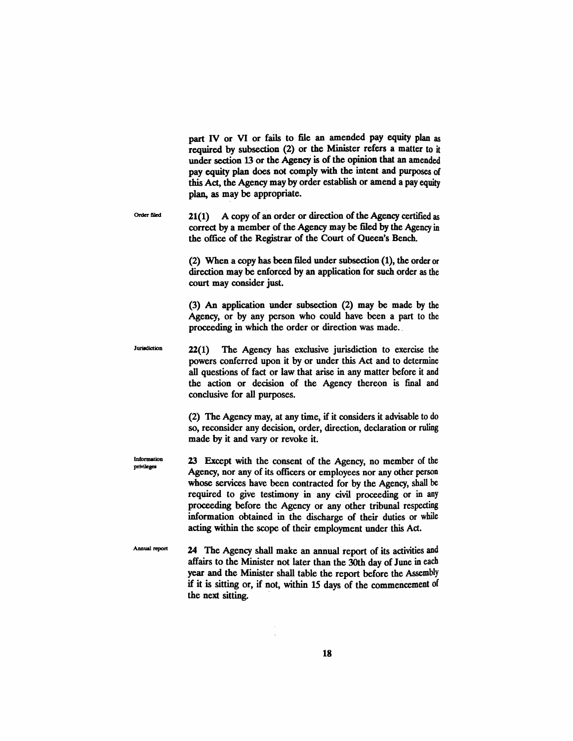part IV or VI or fails to file an amended pay equity plan as required by subsection (2) or the Minister refers a matter to it under section 13 or the Agency is of the opinion that an amended pay equity plan does not comply with the intent and purposes of this Act, the Agency may by order establish or amend a pay equity plan, as may be appropriate.

Order filed  $21(1)$  A copy of an order or direction of the Agency certified as correct by a member of the Agency may be filed by the Agency in the office of the Registrar of the Court of Queen's Bench.

> (2) When a copy has been filed under subsection (1), the order or direction may be enforced by an application for such order as the court may consider just.

> (3) An application under subsection (2) may be made by the Agency, or by any person who could have been a part to the proceeding in which the order or direction was made..

Jurisdiction 22(1) The Agency has exclusive jurisdiction to exercise the powers conferred upon it by or under this Act and to determine all questions of fact or law that arise in any matter before it and the action or decision of the Agency thereon is fmal and conclusive for all purposes.

> (2) The Agency may, at any time, if it considers it advisable to do so, reconsider any decision, order, direction, declaration or ruling made by it and vary or revoke it.

Information privileges 23 Except with the consent of the Agency, no member of the Agency, nor any of its officers or employees nor any other person whose services have been contracted for by the Agency, shall be required to give testimony in any civil proceeding or in any proceeding before the Agency or any other tribunal respecting information obtained in the discharge of their duties or while acting within the scope of their employment under this Act.

Annual report 24 The Agency shall make an annual report of its activities and affairs to the Minister not later than the 30th day of June in each year and the Minister shall table the report before the Assembly if it is sitting or, if not, within 15 days of the commencement of the next sitting. .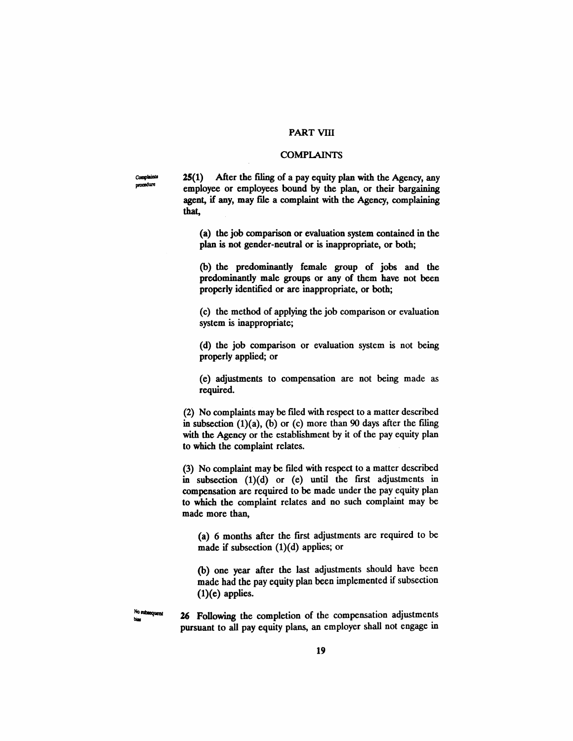# PART VIII

#### **COMPLAINTS**

25(1) After the filing of a pay equity plan with the Agency, any employee or employees bound by the plan, or their bargaining agent, if any, may file a complaint with the Agency, complaining that,

(a) the job comparison or evaluation system contained in the plan is not gender-neutral or is inappropriate, or both;

(b) the predominantly female group of jobs and the predominantly male groups or any of them have not been properly identified or are inappropriate, or both;

(c) the method of applying the job comparison or evaluation system is inappropriate;

(d) the job comparison or evaluation system is not being properly applied; or

(e) adjustments to compensation are not being made as required.

(2) No complaints may be fued with respect to a matter described in subsection  $(1)(a)$ ,  $(b)$  or  $(c)$  more than 90 days after the filing with the Agency or the establishment by it of the pay equity plan to which the complaint relates.

(3) No complaint may be filed with respect to a matter described in subsection  $(1)(d)$  or  $(e)$  until the first adjustments in compensation are required to be made under the pay equity plan to which the complaint relates and no such complaint may be made more than,

(a) 6 months after the frrst adjustments are required to be made if subsection (1)(d) applies; or

(b) one year after the last adjustments should have been made had the pay equity plan been implemented if subsection  $(1)(e)$  applies.

 $\frac{N_0 \text{ subsequence}}{N_0 \text{ subsequence}}$  26 Following the completion of the compensation adjustments pursuant to all pay equity plans, an employer shall not engage in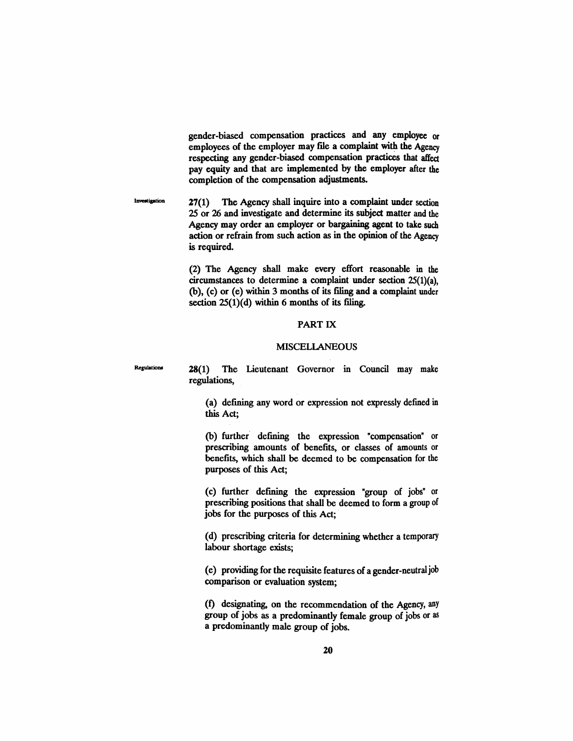gender-biased compensation practices and any employee or employees of the employer may file a complaint with the Agency respecting any gender-biased compensation practices that affect pay equity and that are implemented by the employer after the completion of the compensation adjustments.

Investigation 27(1) The Agency shall inquire into a complaint under section 25 or 26 and investigate and determine its subject matter and the Agency may order an employer or bargaining agent to take such action or refrain from such action as in the opinion of the Agency is required.

> (2) The Agency shall make every effort reasonable in the circumstances to determine a complaint under section 25(1)(a), (b), (c) or (e) within 3 months of its filing and a complaint under section  $25(1)(d)$  within 6 months of its filing.

# PART IX

## MISCELlANEOUS

28(1) The Lieutenant Governor in Council may make regulations,

**Regulations** 

(a) defining any word or expression not expressly defmed in this Act;

(b) further defining the expression "compensation" or prescribing amounts of benefits, or classes of amounts or benefits, which shall be deemed to be compensation for the purposes of this Act;

(c) further defming the expression "group of jobs" or prescribing positions that shall be deemed to form a group of jobs for the purposes of this Act;

(d) prescribing criteria for determining whether a temporary labour shortage exists;

(e) providing for the requisite features of a gender-neutraljob comparison or evaluation system;

(1) designating, on the recommendation of the Agency, any group of jobs as a predominantly female group of jobs or as a predominantly male group of jobs.